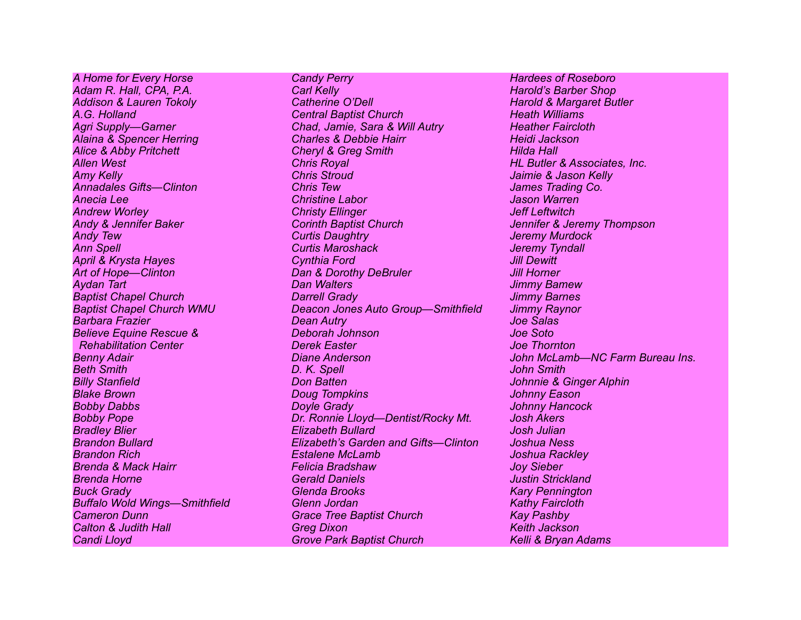A Home for Every Horse **Candy Perry Candy Perry Account Account Candy Perry** Hardees of Roseboro *Adam R. Hall, CPA, P.A. Carl Kelly Harold's Barber Shop Addison & Lauren Tokoly Catherine O'Dell Harold & Margaret Butler A.G. Holland Central Baptist Church Heath Williams Agri Supply—Garner Chad, Jamie, Sara & Will Autry Heather Faircloth*  Alaina & Spencer Herring **Charles & Debbie Hairr Mexican Alain**a & Heidi Jackson **Alain** *Alice & Abby Pritchett Cheryl & Greg Smith Hilda Hall Allen West Chris Royal HL Butler & Associates, Inc. Amy Kelly Chris Stroud Jaimie & Jason Kelly Annadales Gifts—Clinton Chris Tew James Trading Co. Anecia Lee Christine Labor Jason Warren Andrew Worley Christy Ellinger Jeff Leftwitch Andy Corinth Baptist Church Andy <i>Andy Jennifer & Jeremy Thompson Jennifer & Jeremy Thompson Andy Tew Curtis Daughtry Jeremy Murdock Ann Spell Curtis Maroshack Jeremy Tyndall April & Krysta Hayes Cynthia Ford Jill Dewitt Dan & Dorothy DeBruler <i>Dan & Dorothy DeBruler* Jill Horner *Aydan Tart Dan Walters Jimmy Bamew Baptist Chapel Church Darrell Grady Jimmy Barnes Baptist Chapel Church WMU Deacon Jones Auto Group—Smithfield Jimmy Raynor Barbara Frazier Dean Autry Joe Salas Believe Equine Rescue & Deborah Johnson Joe Soto Rehabilitation Center Derek Easter Joe Thornton Beth Smith D. K. Spell John Smith Billy Stanfield Don Batten Johnnie & Ginger Alphin Blake Brown Doug Tompkins Johnny Eason Bobby Dabbs Doyle Grady Johnny Hancock Bobby Pope Dr. Ronnie Lloyd—Dentist/Rocky Mt. Josh Akers Bradley Blier Elizabeth Bullard Josh Julian Brandon Bullard Elizabeth's Garden and Gifts—Clinton Joshua Ness Brandon Rich Estalene McLamb Joshua Rackley Brenda & Mack Hairr Felicia Bradshaw Joy Sieber Brenda Horne Gerald Daniels Justin Strickland Buck Grady Glenda Brooks Kary Pennington*  **Buffalo Wold Wings—Smithfield Clenn Jordan Kathy Faircloth** *Kathy Faircloth* **<b>Kathy Faircloth** *Cameron Dunn Grace Tree Baptist Church Kay Pashby Calton & Judith Hall Greg Dixon Keith Jackson Candi Lloyd Grove Park Baptist Church Kelli & Bryan Adams* 

*Benny Adair Diane Anderson John McLamb—NC Farm Bureau Ins.*